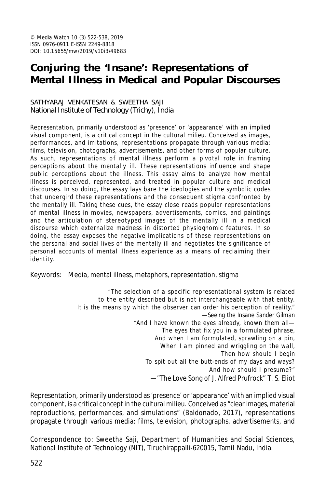# **Conjuring the 'Insane': Representations of Mental Illness in Medical and Popular Discourses**

#### SATHYARAJ VENKATESAN & SWEETHA SAJI National Institute of Technology (Trichy), India

Representation, primarily understood as 'presence' or 'appearance' with an implied visual component, is a critical concept in the cultural milieu. Conceived as images, performances, and imitations, representations propagate through various media: films, television, photographs, advertisements, and other forms of popular culture. As such, representations of mental illness perform a pivotal role in framing perceptions about the mentally ill. These representations influence and shape public perceptions about the illness. This essay aims to analyze how mental illness is perceived, represented, and treated in popular culture and medical discourses. In so doing, the essay lays bare the ideologies and the symbolic codes that undergird these representations and the consequent stigma confronted by the mentally ill. Taking these cues, the essay close reads popular representations of mental illness in movies, newspapers, advertisements, comics, and paintings and the articulation of stereotyped images of the mentally ill in a medical discourse which externalize madness in distorted physiognomic features. In so doing, the essay exposes the negative implications of these representations on the personal and social lives of the mentally ill and negotiates the significance of personal accounts of mental illness experience as a means of reclaiming their identity.

Keywords: Media, mental illness, metaphors, representation, stigma

"The selection of a specific representational system is related to the entity described but is not interchangeable with that entity. It is the means by which the observer can order his perception of reality." —*Seeing the Insane* Sander Gilman "And I have known the eyes already, known them all— The eyes that fix you in a formulated phrase, And when I am formulated, sprawling on a pin, When I am pinned and wriggling on the wall, Then how should I begin To spit out all the butt-ends of my days and ways? And how should I presume?" —"The Love Song of J. Alfred Prufrock" T. S. Eliot

Representation, primarily understood as 'presence' or 'appearance' with an implied visual component, is a critical concept in the cultural milieu. Conceived as "clear images, material reproductions, performances, and simulations" (Baldonado, 2017), representations propagate through various media: films, television, photographs, advertisements, and

Correspondence to: Sweetha Saji, Department of Humanities and Social Sciences, National Institute of Technology (NIT), Tiruchirappalli-620015, Tamil Nadu, India.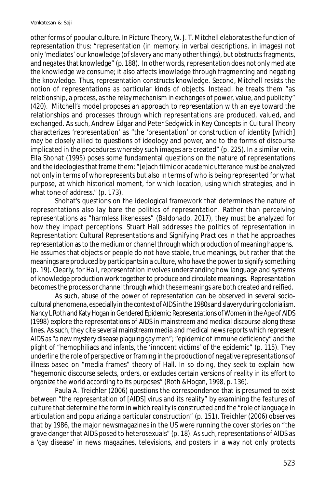other forms of popular culture. In *Picture Theory*, W. J. T. Mitchell elaborates the function of representation thus: "representation (in memory, in verbal descriptions, in images) not only 'mediates' our knowledge (of slavery and many other things), but obstructs fragments, and negates that knowledge" (p. 188). In other words, representation does not only mediate the knowledge we consume; it also affects knowledge through fragmenting and negating the knowledge. Thus, representation constructs knowledge. Second, Mitchell resists the notion of representations as particular kinds of objects. Instead, he treats them "as relationship, a process, as the relay mechanism in exchanges of power, value, and publicity" (420). Mitchell's model proposes an approach to representation with an eye toward the relationships and processes through which representations are produced, valued, and exchanged. As such, Andrew Edgar and Peter Sedgwick in *Key Concepts in Cultural Theory* characterizes 'representation' as "the 'presentation' or construction of identity [which] may be closely allied to questions of ideology and power, and to the forms of discourse implicated in the procedures whereby such images are created" (p. 225). In a similar vein, Ella Shohat (1995) poses some fundamental questions on the nature of representations and the ideologies that frame them: "[e]ach filmic or academic utterance must be analyzed not only in terms of who represents but also in terms of who is being represented for what purpose, at which historical moment, for which location, using which strategies, and in what tone of address." (p. 173).

Shohat's questions on the ideological framework that determines the nature of representations also lay bare the politics of representation. Rather than perceiving representations as "harmless likenesses" (Baldonado, 2017), they must be analyzed for how they impact perceptions. Stuart Hall addresses the politics of representation in *Representation: Cultural Representations and Signifying Practices* in that he approaches representation as to the medium or channel through which production of meaning happens. He assumes that objects or people do not have stable, true meanings, but rather that the meanings are produced by participants in a culture, who have the power to signify something (p. 19). Clearly, for Hall, representation involves understanding how language and systems of knowledge production work together to produce and circulate meanings. Representation becomes the process or channel through which these meanings are both created and reified.

As such, abuse of the power of representation can be observed in several sociocultural phenomena, especially in the context of AIDS in the 1980s and slavery during colonialism. Nancy L Roth and Katy Hogan in *Gendered Epidemic: Representations of Women in the Age of AIDS* (1998) explore the representations of AIDS in mainstream and medical discourse along these lines. As such, they cite several mainstream media and medical news reports which represent AIDS as "a new mystery disease plaguing gay men"; "epidemic of immune deficiency" and the plight of "hemophiliacs and infants, the 'innocent victims' of the epidemic" (p. 115). They underline the role of perspective or framing in the production of negative representations of illness based on "media frames" theory of Hall. In so doing, they seek to explain how "hegemonic discourse selects, orders, or excludes certain versions of reality in its effort to organize the world according to its purposes" (Roth &Hogan, 1998, p. 136).

Paula A. Treichler (2006) questions the correspondence that is presumed to exist between "the representation of [AIDS] virus and its reality" by examining the features of culture that determine the form in which reality is constructed and the "role of language in articulation and popularizing a particular construction" (p. 151). Treichler (2006) observes that by 1986, the major newsmagazines in the US were running the cover stories on "the grave danger that AIDS posed to heterosexuals" (p. 18). As such, representations of AIDS as a 'gay disease' in news magazines, televisions, and posters in a way not only protects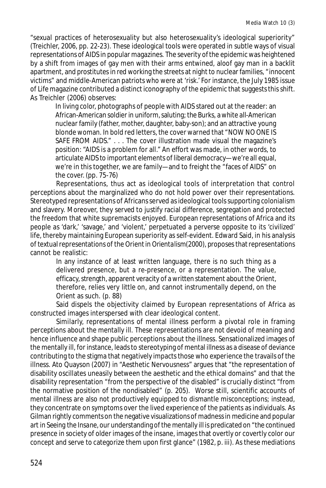"sexual practices of heterosexuality but also heterosexuality's ideological superiority" (Treichler, 2006, pp. 22-23). These ideological tools were operated in subtle ways of visual representations of AIDS in popular magazines. The severity of the epidemic was heightened by a shift from images of gay men with their arms entwined, aloof gay man in a backlit apartment, and prostitutes in red working the streets at night to nuclear families, "innocent victims" and middle-American patriots who were at 'risk.' For instance, the July 1985 issue of *Life* magazine contributed a distinct iconography of the epidemic that suggests this shift. As Treichler (2006) observes:

In living color, photographs of people with AIDS stared out at the reader: an African-American soldier in uniform, saluting; the Burks, a white all-American nuclear family (father, mother, daughter, baby-son); and an attractive young blonde woman. In bold red letters, the cover warned that "NOW NO ONE IS SAFE FROM AIDS." . . . The cover illustration made visual the magazine's position: "AIDS is a problem for all." An effort was made, in other words, to articulate AIDS to important elements of liberal democracy—we're all equal, we're in this together, we are family—and to freight the "faces of AIDS" on the cover. (pp. 75-76)

Representations, thus act as ideological tools of interpretation that control perceptions about the marginalized who do not hold power over their representations. Stereotyped representations of Africans served as ideological tools supporting colonialism and slavery. Moreover, they served to justify racial difference, segregation and protected the freedom that white supremacists enjoyed. European representations of Africa and its people as 'dark,' 'savage,' and 'violent,' perpetuated a perverse opposite to its 'civilized' life, thereby maintaining European superiority as self-evident. Edward Said, in his analysis of textual representations of the Orient in *Orientalism*(2000), proposes that representations cannot be realistic:

In any instance of at least written language, there is no such thing as a delivered presence, but a re-presence, or a representation. The value, efficacy, strength, apparent veracity of a written statement about the Orient, therefore, relies very little on, and cannot instrumentally depend, on the Orient as such. (p. 88)

Said dispels the objectivity claimed by European representations of Africa as constructed images interspersed with clear ideological content.

Similarly, representations of mental illness perform a pivotal role in framing perceptions about the mentally ill. These representations are not devoid of meaning and hence influence and shape public perceptions about the illness. Sensationalized images of the mentally ill, for instance, leads to stereotyping of mental illness as a disease of deviance contributing to the stigma that negatively impacts those who experience the travails of the illness. Ato Quayson (2007) in "Aesthetic Nervousness" argues that "the representation of disability oscillates uneasily between the aesthetic and the ethical domains" and that the disability representation "from the perspective of the disabled" is crucially distinct "from the normative position of the nondisabled" (p. 205). Worse still, scientific accounts of mental illness are also not productively equipped to dismantle misconceptions; instead, they concentrate on symptoms over the lived experience of the patients as individuals. As Gilman rightly comments on the negative visualizations of madness in medicine and popular art in *Seeing the Insane*, our understanding of the mentally ill is predicated on "the continued presence in society of older images of the insane, images that overtly or covertly color our concept and serve to categorize them upon first glance" (1982, p. iii). As these mediations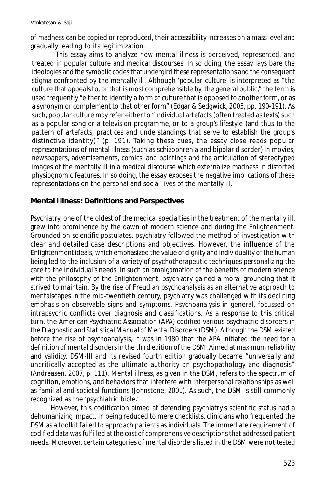of madness can be copied or reproduced, their accessibility increases on a mass level and gradually leading to its legitimization.

This essay aims to analyze how mental illness is perceived, represented, and treated in popular culture and medical discourses. In so doing, the essay lays bare the ideologies and the symbolic codes that undergird these representations and the consequent stigma confronted by the mentally ill. Although 'popular culture' is interpreted as "the culture that appeals to, or that is most comprehensible by, the general public," the term is used frequently "either to identify a form of culture that is opposed to another form, or as a synonym or complement to that other form" (Edgar & Sedgwick, 2005, pp. 190-191). As such, popular culture may refer either to "individual artefacts (often treated as texts) such as a popular song or a television programme, or to a group's lifestyle (and thus to the pattern of artefacts, practices and understandings that serve to establish the group's distinctive identity)" (p. 191). Taking these cues, the essay close reads popular representations of mental illness (such as schizophrenia and bipolar disorder) in movies, newspapers, advertisements, comics, and paintings and the articulation of stereotyped images of the mentally ill in a medical discourse which externalize madness in distorted physiognomic features. In so doing, the essay exposes the negative implications of these representations on the personal and social lives of the mentally ill.

## **Mental Illness: Definitions and Perspectives**

Psychiatry, one of the oldest of the medical specialties in the treatment of the mentally ill, grew into prominence by the dawn of modern science and during the Enlightenment. Grounded on scientific postulates, psychiatry followed the method of investigation with clear and detailed case descriptions and objectives. However, the influence of the Enlightenment ideals, which emphasized the value of dignity and individuality of the human being led to the inclusion of a variety of psychotherapeutic techniques personalizing the care to the individual's needs. In such an amalgamation of the benefits of modern science with the philosophy of the Enlightenment, psychiatry gained a moral grounding that it strived to maintain. By the rise of Freudian psychoanalysis as an alternative approach to mentalscapes in the mid-twentieth century, psychiatry was challenged with its declining emphasis on observable signs and symptoms. Psychoanalysis in general, focussed on intrapsychic conflicts over diagnosis and classifications. As a response to this critical turn, the American Psychiatric Association (APA) codified various psychiatric disorders in the *Diagnostic and Statistical Manual of Mental Disorders* (DSM). Although the DSM existed before the rise of psychoanalysis, it was in 1980 that the APA initiated the need for a definition of mental disorders in the third edition of the DSM. Aimed at maximum reliability and validity, DSM-III and its revised fourth edition gradually became "universally and uncritically accepted as the ultimate authority on psychopathology and diagnosis" (Andreasen, 2007, p. 111). Mental illness, as given in the DSM, refers to the spectrum of cognition, emotions, and behaviors that interfere with interpersonal relationships as well as familial and societal functions (Johnstone, 2001). As such, the DSM is still commonly recognized as the 'psychiatric bible.'

However, this codification aimed at defending psychiatry's scientific status had a dehumanizing impact. In being reduced to mere checklists, clinicians who frequented the DSM as a toolkit failed to approach patients as individuals. The immediate requirement of codified data was fulfilled at the cost of comprehensive descriptions that addressed patient needs. Moreover, certain categories of mental disorders listed in the DSM were not tested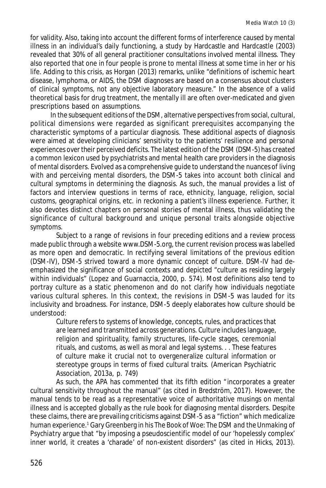for validity. Also, taking into account the different forms of interference caused by mental illness in an individual's daily functioning, a study by Hardcastle and Hardcastle (2003) revealed that 30% of all general practitioner consultations involved mental illness. They also reported that one in four people is prone to mental illness at some time in her or his life. Adding to this crisis, as Horgan (2013) remarks, unlike "definitions of ischemic heart disease, lymphoma, or AIDS, the DSM diagnoses are based on a consensus about clusters of clinical symptoms, not any objective laboratory measure." In the absence of a valid theoretical basis for drug treatment, the mentally ill are often over-medicated and given prescriptions based on assumptions.

In the subsequent editions of the DSM, alternative perspectives from social, cultural, political dimensions were regarded as significant prerequisites accompanying the characteristic symptoms of a particular diagnosis. These additional aspects of diagnosis were aimed at developing clinicians' sensitivity to the patients' resilience and personal experiences over their perceived deficits. The latest edition of the DSM (DSM-5) has created a common lexicon used by psychiatrists and mental health care providers in the diagnosis of mental disorders. Evolved as a comprehensive guide to understand the nuances of living with and perceiving mental disorders, the DSM-5 takes into account both clinical and cultural symptoms in determining the diagnosis. As such, the manual provides a list of factors and interview questions in terms of race, ethnicity, language, religion, social customs, geographical origins, etc. in reckoning a patient's illness experience. Further, it also devotes distinct chapters on personal stories of mental illness, thus validating the significance of cultural background and unique personal traits alongside objective symptoms.

Subject to a range of revisions in four preceding editions and a review process made public through a website www.DSM-5.org, the current revision process was labelled as more open and democratic. In rectifying several limitations of the previous edition (DSM-IV), DSM-5 strived toward a more dynamic concept of culture. DSM-IV had deemphasized the significance of social contexts and depicted "culture as residing largely within individuals" (Lopez and Guarnaccia, 2000, p. 574). Most definitions also tend to portray culture as a static phenomenon and do not clarify how individuals negotiate various cultural spheres. In this context, the revisions in DSM-5 was lauded for its inclusivity and broadness. For instance, DSM-5 deeply elaborates how culture should be understood:

Culture refers to systems of knowledge, concepts, rules, and practices that are learned and transmitted across generations. Culture includes language, religion and spirituality, family structures, life-cycle stages, ceremonial rituals, and customs, as well as moral and legal systems. . . These features of culture make it crucial not to overgeneralize cultural information or stereotype groups in terms of fixed cultural traits. (American Psychiatric Association, 2013a, p. 749)

As such, the APA has commented that its fifth edition "incorporates a greater cultural sensitivity throughout the manual" (as cited in Bredström, 2017). However, the manual tends to be read as a representative voice of authoritative musings on mental illness and is accepted globally as the rule book for diagnosing mental disorders. Despite these claims, there are prevailing criticisms against DSM-5 as a "fiction" which medicalize human experience.<sup>1</sup> Gary Greenberg in his *The Book of Woe: The DSM and the Unmaking of Psychiatry* argue that "by imposing a pseudoscientific model of our 'hopelessly complex' inner world, it creates a 'charade' of non-existent disorders" (as cited in Hicks, 2013).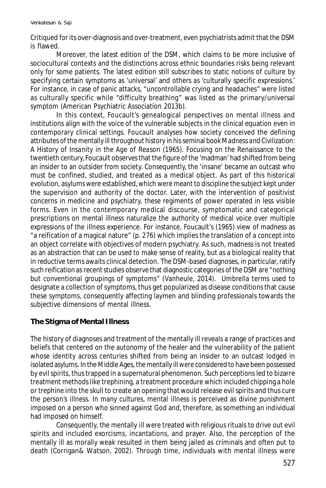Critiqued for its over-diagnosis and over-treatment, even psychiatrists admit that the DSM is flawed.

Moreover, the latest edition of the DSM, which claims to be more inclusive of sociocultural contexts and the distinctions across ethnic boundaries risks being relevant only for some patients. The latest edition still subscribes to static notions of culture by specifying certain symptoms as 'universal' and others as 'culturally specific expressions.' For instance, in case of panic attacks, "uncontrollable crying and headaches" were listed as culturally specific while "difficulty breathing" was listed as the primary/universal symptom (American Psychiatric Association 2013b).

In this context, Foucault's genealogical perspectives on mental illness and institutions align with the voice of the vulnerable subjects in the clinical equation even in contemporary clinical settings. Foucault analyses how society conceived the defining attributes of the mentally ill throughout history in his seminal book *Madness and Civilization: A History of Insanity in the Age of Reason* (1965). Focusing on the Renaissance to the twentieth century, Foucault observes that the figure of the 'madman' had shifted from being an insider to an outsider from society. Consequently, the 'insane' became an outcast who must be confined, studied, and treated as a medical object. As part of this historical evolution, asylums were established, which were meant to *discipline* the subject kept under the supervision and authority of the doctor. Later, with the intervention of positivist concerns in medicine and psychiatry, these regiments of power operated in less visible forms. Even in the contemporary medical discourse, symptomatic and categorical prescriptions on mental illness naturalize the authority of medical voice over multiple expressions of the illness experience. For instance, Foucault's (1965) view of madness as "a reification of a magical nature" (p. 276) which implies the translation of a concept into an object correlate with objectives of modern psychiatry. As such, madness is not treated as an abstraction that can be used to make sense of reality, but as a biological reality that in reductive terms awaits clinical detection. The DSM-based diagnoses, in particular, ratify such reification as recent studies observe that diagnostic categories of the DSM are "nothing but conventional groupings of symptoms" (Vanheule, 2014). Umbrella terms used to designate a collection of symptoms, thus get popularized as disease conditions that cause these symptoms, consequently affecting laymen and blinding professionals towards the subjective dimensions of mental illness.

# **The Stigma of Mental Illness**

The history of diagnoses and treatment of the mentally ill reveals a range of practices and beliefs that centered on the autonomy of the healer and the vulnerability of the patient whose identity across centuries shifted from being an insider to an outcast lodged in isolated asylums. In the Middle Ages, the mentally ill were considered to have been possessed by evil spirits, thus trapped in a supernatural phenomenon. Such perceptions led to bizarre treatment methods like trephining, a treatment procedure which included chipping a hole or trephine into the skull to create an opening that would release evil spirits and thus cure the person's illness. In many cultures, mental illness is perceived as divine punishment imposed on a person who sinned against God and, therefore, as something an individual had imposed on himself.

Consequently, the mentally ill were treated with religious rituals to drive out evil spirits and included exorcisms, incantations, and prayer. Also, the perception of the mentally ill as morally weak resulted in them being jailed as criminals and often put to death (Corrigan& Watson, 2002). Through time, individuals with mental illness were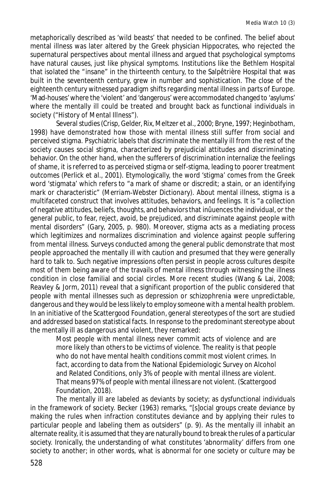metaphorically described as 'wild beasts' that needed to be confined. The belief about mental illness was later altered by the Greek physician Hippocrates, who rejected the supernatural perspectives about mental illness and argued that psychological symptoms have natural causes, just like physical symptoms. Institutions like the Bethlem Hospital that isolated the "insane" in the thirteenth century, to the Salpêtrière Hospital that was built in the seventeenth century, grew in number and sophistication. The close of the eighteenth century witnessed paradigm shifts regarding mental illness in parts of Europe. 'Mad-houses' where the 'violent' and 'dangerous' were accommodated changed to 'asylums' where the mentally ill could be treated and brought back as functional individuals in society ("History of Mental Illness").

Several studies (Crisp, Gelder, Rix, Meltzer et al., 2000; Bryne, 1997; Heginbotham, 1998) have demonstrated how those with mental illness still suffer from social and perceived stigma. Psychiatric labels that discriminate the mentally ill from the rest of the society causes social stigma, characterized by prejudicial attitudes and discriminating behavior. On the other hand, when the sufferers of discrimination internalize the feelings of shame, it is referred to as perceived stigma or self-stigma, leading to poorer treatment outcomes (Perlick et al., 2001). Etymologically, the word 'stigma' comes from the Greek word 'stigmata' which refers to "a mark of shame or discredit; a stain, or an identifying mark or characteristic" (*Merriam*-*Webster Dictionary*). About mental illness, stigma is a multifaceted construct that involves attitudes, behaviors, and feelings. It is "a collection of negative attitudes, beliefs, thoughts, and behaviors that inûuences the individual, or the general public, to fear, reject, avoid, be prejudiced, and discriminate against people with mental disorders" (Gary, 2005, p. 980). Moreover, stigma acts as a mediating process which legitimizes and normalizes discrimination and violence against people suffering from mental illness. Surveys conducted among the general public demonstrate that most people approached the mentally ill with caution and presumed that they were generally hard to talk to. Such negative impressions often persist in people across cultures despite most of them being aware of the travails of mental illness through witnessing the illness condition in close familial and social circles. More recent studies (Wang & Lai, 2008; Reavley & Jorm, 2011) reveal that a significant proportion of the public considered that people with mental illnesses such as depression or schizophrenia were unpredictable, dangerous and they would be less likely to employ someone with a mental health problem. In an initiative of the Scattergood Foundation, general stereotypes of the sort are studied and addressed based on statistical facts. In response to the predominant stereotype about the mentally ill as dangerous and violent, they remarked:

Most people with mental illness never commit acts of violence and are more likely than others to be victims of violence. The reality is that people who do not have mental health conditions commit most violent crimes. In fact, according to data from the National Epidemiologic Survey on Alcohol and Related Conditions, only 3% of people with mental illness are violent. That means 97% of people with mental illness are not violent. (Scattergood Foundation, 2018).

The mentally ill are labeled as deviants by society; as dysfunctional individuals in the framework of society. Becker (1963) remarks, "[s]ocial groups create deviance by making the rules when infraction constitutes deviance and by applying their rules to particular people and labeling them as outsiders" (p. 9). As the mentally ill inhabit an alternate reality, it is assumed that they are naturally bound to break the rules of a particular society. Ironically, the understanding of what constitutes 'abnormality' differs from one society to another; in other words, what is abnormal for one society or culture may be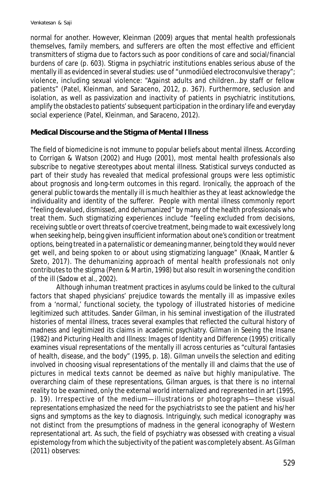normal for another. However, Kleinman (2009) argues that mental health professionals themselves, family members, and sufferers are often the most effective and efficient transmitters of stigma due to factors such as poor conditions of care and social/financial burdens of care (p. 603). Stigma in psychiatric institutions enables serious abuse of the mentally ill as evidenced in several studies: use of "unmodiûed electroconvulsive therapy"; violence, including sexual violence: "Against adults and children…by staff or fellow patients" (Patel, Kleinman, and Saraceno, 2012, p. 367). Furthermore, seclusion and isolation, as well as passivization and inactivity of patients in psychiatric institutions, amplify the obstacles to patients' subsequent participation in the ordinary life and everyday social experience (Patel, Kleinman, and Saraceno, 2012).

### **Medical Discourse and the Stigma of Mental Illness**

The field of biomedicine is not immune to popular beliefs about mental illness. According to Corrigan & Watson (2002) and Hugo (2001), most mental health professionals also subscribe to negative stereotypes about mental illness. Statistical surveys conducted as part of their study has revealed that medical professional groups were less optimistic about prognosis and long-term outcomes in this regard. Ironically, the approach of the general public towards the mentally ill is much healthier as they at least acknowledge the individuality and identity of the sufferer. People with mental illness commonly report "feeling devalued, dismissed, and dehumanized" by many of the health professionals who treat them. Such stigmatizing experiences include "feeling excluded from decisions, receiving subtle or overt threats of coercive treatment, being made to wait excessively long when seeking help, being given insufficient information about one's condition or treatment options, being treated in a paternalistic or demeaning manner, being told they would never get well, and being spoken to or about using stigmatizing language" (Knaak, Mantler & Szeto, 2017). The dehumanizing approach of mental health professionals not only contributes to the stigma (Penn & Martin, 1998) but also result in worsening the condition of the ill (Sadow et al., 2002).

Although inhuman treatment practices in asylums could be linked to the cultural factors that shaped physicians' prejudice towards the mentally ill as impassive exiles from a 'normal,' functional society, the typology of illustrated histories of medicine legitimized such attitudes. Sander Gilman, in his seminal investigation of the illustrated histories of mental illness, traces several examples that reflected the cultural history of madness and legitimized its claims in academic psychiatry. Gilman in *Seeing the Insane* (1982) and *Picturing Health and Illness: Images of Identity and Difference* (1995) critically examines visual representations of the mentally ill across centuries as "cultural fantasies of health, disease, and the body" (1995, p. 18). Gilman unveils the selection and editing involved in choosing visual representations of the mentally ill and claims that the use of pictures in medical texts cannot be deemed as naïve but highly manipulative. The overarching claim of these representations, Gilman argues, is that there is no internal reality to be examined, only the external world internalized and represented in art (1995, p. 19). Irrespective of the medium—illustrations or photographs—these visual representations emphasized the need for the psychiatrists to *see* the patient and his/her signs and symptoms as the key to diagnosis. Intriguingly, such medical iconography was not distinct from the presumptions of madness in the general iconography of Western representational art. As such, the field of psychiatry was obsessed with creating a visual epistemology from which the subjectivity of the patient was completely absent. As Gilman (2011) observes: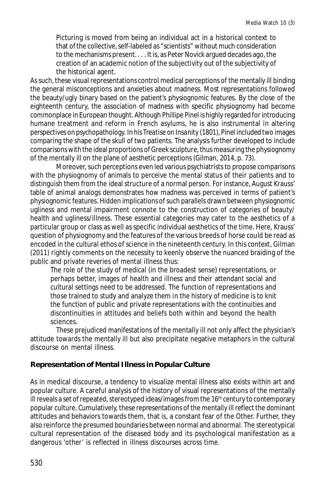Picturing is moved from being an individual act in a historical context to that of the collective, self-labeled as "scientists" without much consideration to the mechanisms present. . . . It is, as Peter Novick argued decades ago, the creation of an academic notion of the subjectivity out of the subjectivity of the historical agent.

As such, these visual representations control medical perceptions of the mentally ill binding the general misconceptions and anxieties about madness. Most representations followed the beauty/ugly binary based on the patient's physiognomic features. By the close of the eighteenth century, the association of madness with specific physiognomy had become commonplace in European thought. Although Phillipe Pinel is highly regarded for introducing humane treatment and reform in French asylums, he is also instrumental in altering perspectives on psychopathology. In his *Treatise on Insanity* (1801), Pinel included two images comparing the shape of the skull of two patients. The analysis further developed to include comparisons with the ideal proportions of Greek sculpture, thus measuring the physiognomy of the mentally ill on the plane of aesthetic perceptions (Gilman, 2014, p. 73).

Moreover, such perceptions even led various psychiatrists to propose comparisons with the physiognomy of animals to perceive the mental status of their patients and to distinguish them from the ideal structure of a normal person. For instance, August Krauss' table of animal analogs demonstrates how madness was perceived in terms of patient's physiognomic features. Hidden implications of such parallels drawn between physiognomic ugliness and mental impairment connote to the construction of categories of beauty/ health and ugliness/illness. These essential categories may cater to the aesthetics of a particular group or class as well as specific individual aesthetics of the time. Here, Krauss' question of physiognomy and the features of the various breeds of horse could be read as encoded in the cultural ethos of science in the nineteenth century. In this context, Gilman (2011) rightly comments on the necessity to keenly observe the nuanced braiding of the public and private reveries of mental illness thus:

The role of the study of medical (in the broadest sense) representations, or perhaps better, images of health and illness and their attendant social and cultural settings need to be addressed. The function of representations and those trained to study and analyze them in the history of medicine is to knit the function of public and private representations with the continuities and discontinuities in attitudes and beliefs both within and beyond the health sciences.

These prejudiced manifestations of the mentally ill not only affect the physician's attitude towards the mentally ill but also precipitate negative metaphors in the cultural discourse on mental illness.

### **Representation of Mental Illness in Popular Culture**

As in medical discourse, a tendency to visualize mental illness also exists within art and popular culture. A careful analysis of the history of visual representations of the mentally ill reveals a set of repeated, stereotyped ideas/images from the  $16<sup>th</sup>$  century to contemporary popular culture. Cumulatively, these representations of the mentally ill reflect the dominant attitudes and behaviors towards them, that is, a constant fear of the Other. Further, they also reinforce the presumed boundaries between normal and abnormal. The stereotypical cultural representation of the diseased body and its psychological manifestation as a dangerous 'other' is reflected in illness discourses across time.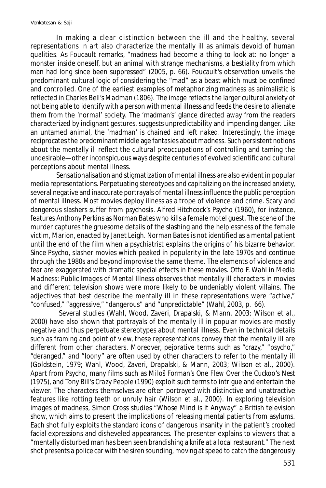In making a clear distinction between the ill and the healthy, several representations in art also characterize the mentally ill as animals devoid of human qualities. As Foucault remarks, "madness had become a thing to look at: no longer a monster inside oneself, but an animal with strange mechanisms, a bestiality from which man had long since been suppressed" (2005, p. 66). Foucault's observation unveils the predominant cultural logic of considering the "mad" as a beast which must be confined and controlled. One of the earliest examples of metaphorizing madness as animalistic is reflected in Charles Bell's *Madman* (1806). The image reflects the larger cultural anxiety of not being able to identify with a person with mental illness and feeds the desire to alienate them from the 'normal' society. The 'madman's' glance directed away from the readers characterized by indignant gestures, suggests unpredictability and impending danger. Like an untamed animal, the 'madman' is chained and left naked. Interestingly, the image reciprocates the predominant middle age fantasies about madness. Such persistent notions about the mentally ill reflect the cultural preoccupations of controlling and taming the undesirable—other inconspicuous ways despite centuries of evolved scientific and cultural perceptions about mental illness.

Sensationalisation and stigmatization of mental illness are also evident in popular media representations. Perpetuating stereotypes and capitalizing on the increased anxiety, several negative and inaccurate portrayals of mental illness influence the public perception of mental illness. Most movies deploy illness as a trope of violence and crime. Scary and dangerous slashers suffer from psychosis. Alfred Hitchcock's *Psycho* (1960), for instance, features Anthony Perkins as Norman Bates who kills a female motel guest. The scene of the murder captures the gruesome details of the slashing and the helplessness of the female victim, Marion, enacted by Janet Leigh. Norman Bates is not identified as a mental patient until the end of the film when a psychiatrist explains the origins of his bizarre behavior. Since *Psycho*, slasher movies which peaked in popularity in the late 1970s and continue through the 1980s and beyond improvise the same theme. The elements of violence and fear are exaggerated with dramatic special effects in these movies. Otto F. Wahl in *Media Madness: Public Images of Mental Illness* observes that mentally ill characters in movies and different television shows were more likely to be undeniably violent villains. The adjectives that best describe the mentally ill in these representations were "active," "confused," "aggressive," "dangerous" and "unpredictable" (Wahl, 2003, p. 66).

 Several studies (Wahl, Wood, Zaveri, Drapalski, & Mann, 2003; Wilson et al., 2000) have also shown that portrayals of the mentally ill in popular movies are mostly negative and thus perpetuate stereotypes about mental illness. Even in technical details such as framing and point of view, these representations convey that the mentally ill are different from other characters. Moreover, pejorative terms such as "crazy," "psycho," "deranged," and "loony" are often used by other characters to refer to the mentally ill (Goldstein, 1979; Wahl, Wood, Zaveri, Drapalski, & Mann, 2003; Wilson et al., 2000). Apart from *Psycho*, many films such as Miloš Forman's *One Flew Over the Cuckoo's Nest* (1975), and Tony Bill's *Crazy People* (1990) exploit such terms to intrigue and entertain the viewer. The characters themselves are often portrayed with distinctive and unattractive features like rotting teeth or unruly hair (Wilson et al., 2000). In exploring television images of madness, Simon Cross studies "Whose Mind is it Anyway" a British television show, which aims to present the implications of releasing mental patients from asylums. Each shot fully exploits the standard icons of dangerous insanity in the patient's crooked facial expressions and disheveled appearances. The presenter explains to viewers that a "mentally disturbed man has been seen brandishing a knife at a local restaurant." The next shot presents a police car with the siren sounding, moving at speed to catch the dangerously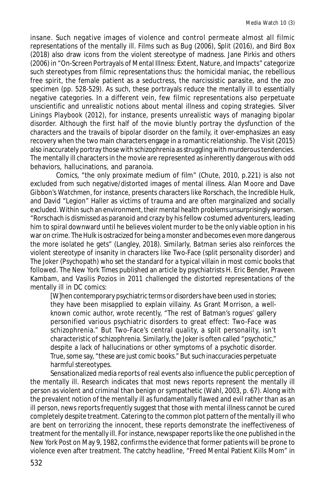insane. Such negative images of violence and control permeate almost all filmic representations of the mentally ill. Films such as *Bug* (2006), *Split* (2016), and *Bird Box* (2018) also draw icons from the violent stereotype of madness. Jane Pirkis and others (2006) in "On-Screen Portrayals of Mental Illness: Extent, Nature, and Impacts" categorize such stereotypes from filmic representations thus: the homicidal maniac, the rebellious free spirit, the female patient as a seductress, the narcissistic parasite, and the zoo specimen (pp. 528-529). As such, these portrayals reduce the mentally ill to essentially negative categories. In a different vein, few filmic representations also perpetuate unscientific and unrealistic notions about mental illness and coping strategies. *Silver Linings Playbook* (2012), for instance, presents unrealistic ways of managing bipolar disorder. Although the first half of the movie bluntly portray the dysfunction of the characters and the travails of bipolar disorder on the family, it over-emphasizes an easy recovery when the two main characters engage in a romantic relationship. *The Visit* (2015) also inaccurately portray those with schizophrenia as struggling with murderous tendencies. The mentally ill characters in the movie are represented as inherently dangerous with odd behaviors, hallucinations, and paranoia.

Comics, "the only proximate medium of film" (Chute, 2010, p*.*221) is also not excluded from such negative/distorted images of mental illness. Alan Moore and Dave Gibbon's *Watchmen,* for instance, presents characters like Rorschach, the Incredible Hulk, and David "Legion" Haller as victims of trauma and are often marginalized and socially excluded. Within such an environment, their mental health problems unsurprisingly worsen. "Rorschach is dismissed as paranoid and crazy by his fellow costumed adventurers, leading him to spiral downward until he believes violent murder to be the only viable option in his war on crime. The Hulk is ostracized for being a monster and becomes even more dangerous the more isolated he gets" (Langley, 2018). Similarly, *Batman* series also reinforces the violent stereotype of insanity in characters like Two-Face (split personality disorder) and The Joker (Psychopath) who set the standard for a typical villain in most comic books that followed. The *New York Times* published an article by psychiatrists H. Eric Bender, Praveen Kambam, and Vasilis Pozios in 2011 challenged the distorted representations of the mentally ill in DC comics:

[W]hen contemporary psychiatric terms or disorders have been used in stories; they have been misapplied to explain villainy. As Grant Morrison, a wellknown comic author, wrote recently, "The rest of Batman's rogues' gallery personified various psychiatric disorders to great effect: Two-Face was schizophrenia." But Two-Face's central quality, a split personality, isn't characteristic of schizophrenia. Similarly, the Joker is often called "psychotic," despite a lack of hallucinations or other symptoms of a psychotic disorder. True, some say, "these are just comic books." But such inaccuracies perpetuate harmful stereotypes.

Sensationalized media reports of real events also influence the public perception of the mentally ill. Research indicates that most news reports represent the mentally ill person as violent and criminal than benign or sympathetic (Wahl, 2003, p. 67). Along with the prevalent notion of the mentally ill as fundamentally flawed and evil rather than as an ill person, news reports frequently suggest that those with mental illness cannot be cured completely despite treatment. Catering to the common plot pattern of the mentally ill who are bent on terrorizing the innocent, these reports demonstrate the ineffectiveness of treatment for the mentally ill. For instance, newspaper reports like the one published in *the New York Post* on May 9, 1982, confirms the evidence that former patients will be prone to violence even after treatment. The catchy headline, "Freed Mental Patient Kills Mom" in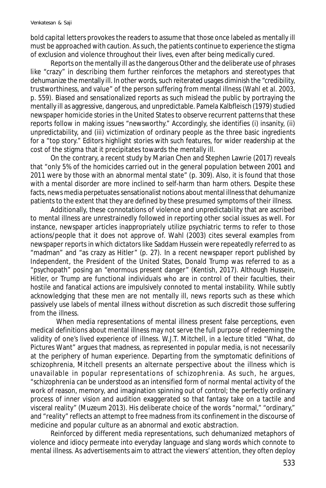bold capital letters provokes the readers to assume that those once labeled as mentally ill must be approached with caution. As such, the patients continue to experience the stigma of exclusion and violence throughout their lives, even after being medically cured.

Reports on the mentally ill as the dangerous Other and the deliberate use of phrases like "crazy" in describing them further reinforces the metaphors and stereotypes that dehumanize the mentally ill. In other words, such reiterated usages diminish the "credibility, trustworthiness, and value" of the person suffering from mental illness (Wahl et al. 2003, p. 559). Biased and sensationalized reports as such mislead the public by portraying the mentally ill as aggressive, dangerous, and unpredictable. Pamela Kalbfleisch (1979) studied newspaper homicide stories in the United States to observe recurrent patterns that these reports follow in making issues "newsworthy." Accordingly, she identifies (i) insanity, (ii) unpredictability, and (iii) victimization of ordinary people as the three basic ingredients for a "top story." Editors highlight stories with such features, for wider readership at the cost of the stigma that it precipitates towards the mentally ill.

On the contrary, a recent study by Marian Chen and Stephen Lawrie (2017) reveals that "only 5% of the homicides carried out in the general population between 2001 and 2011 were by those with an abnormal mental state" (p. 309). Also, it is found that those with a mental disorder are more inclined to self-harm than harm others. Despite these facts, news media perpetuates sensationalist notions about mental illness that dehumanize patients to the extent that they are defined by these presumed symptoms of their illness.

Additionally, these connotations of violence and unpredictability that are ascribed to mental illness are unrestrainedly followed in reporting other social issues as well. For instance, newspaper articles inappropriately utilize psychiatric terms to refer to those actions/people that it does not approve of. Wahl (2003) cites several examples from newspaper reports in which dictators like Saddam Hussein were repeatedly referred to as "madman" and "as crazy as Hitler" (p. 27). In a recent newspaper report published by *Independent*, the President of the United States, Donald Trump was referred to as a "psychopath" posing an "enormous present danger" (Kentish, 2017). Although Hussein, Hitler, or Trump are functional individuals who are in control of their faculties, their hostile and fanatical actions are impulsively connoted to mental instability. While subtly acknowledging that these men are not mentally ill, news reports such as these which passively use labels of mental illness without discretion as such discredit those suffering from the illness.

When media representations of mental illness present false perceptions, even medical definitions about mental illness may not serve the full purpose of redeeming the validity of one's lived experience of illness. W.J.T. Mitchell, in a lecture titled "What, do Pictures Want" argues that madness, as represented in popular media, is not necessarily at the periphery of human experience. Departing from the symptomatic definitions of schizophrenia, Mitchell presents an alternate perspective about the illness which is unavailable in popular representations of schizophrenia. As such, he argues, "schizophrenia can be understood as an intensified form of normal mental activity of the work of reason, memory, and imagination spinning out of control; the perfectly ordinary process of inner vision and audition exaggerated so that fantasy take on a tactile and visceral reality" (Muzeum 2013). His deliberate choice of the words "normal," "ordinary," and "reality" reflects an attempt to free madness from its confinement in the discourse of medicine and popular culture as an abnormal and exotic abstraction.

Reinforced by different media representations, such dehumanized metaphors of violence and idiocy permeate into everyday language and slang words which connote to mental illness. As advertisements aim to attract the viewers' attention, they often deploy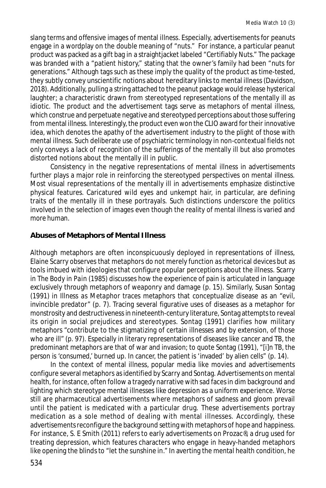slang terms and offensive images of mental illness. Especially, advertisements for peanuts engage in a wordplay on the double meaning of "nuts." For instance, a particular peanut product was packed as a gift bag in a straightjacket labeled "Certifiably Nuts." The package was branded with a "patient history," stating that the owner's family had been "nuts for generations." Although tags such as these imply the quality of the product as time-tested, they subtly convey unscientific notions about hereditary links to mental illness (Davidson, 2018). Additionally, pulling a string attached to the peanut package would release hysterical laughter; a characteristic drawn from stereotyped representations of the mentally ill as idiotic. The product and the advertisement tags serve as metaphors of mental illness, which construe and perpetuate negative and stereotyped perceptions about those suffering from mental illness. Interestingly, the product even won the CLIO award for their innovative idea, which denotes the apathy of the advertisement industry to the plight of those with mental illness. Such deliberate use of psychiatric terminology in non-contextual fields not only conveys a lack of recognition of the sufferings of the mentally ill but also promotes distorted notions about the mentally ill in public.

Consistency in the negative representations of mental illness in advertisements further plays a major role in reinforcing the stereotyped perspectives on mental illness. Most visual representations of the mentally ill in advertisements emphasize distinctive physical features. Caricatured wild eyes and unkempt hair, in particular, are defining traits of the mentally ill in these portrayals. Such distinctions underscore the politics involved in the selection of images even though the reality of mental illness is varied and more human.

# **Abuses of Metaphors of Mental Illness**

Although metaphors are often inconspicuously deployed in representations of illness, Elaine Scarry observes that metaphors do not merely function as rhetorical devices but as tools imbued with ideologies that configure popular perceptions about the illness. Scarry in *The Body in Pain* (1985) discusses how the experience of pain is articulated in language exclusively through metaphors of weaponry and damage (p. 15). Similarly, Susan Sontag (1991) in *Illness as Metaphor* traces metaphors that conceptualize disease as an "evil, invincible predator" (p. 7). Tracing several figurative uses of diseases as a metaphor for monstrosity and destructiveness in nineteenth-century literature, Sontag attempts to reveal its origin in social prejudices and stereotypes. Sontag (1991) clarifies how military metaphors "contribute to the stigmatizing of certain illnesses and by extension, of those who are ill" (p. 97). Especially in literary representations of diseases like cancer and TB, the predominant metaphors are that of war and invasion; to quote Sontag (1991), "[i]n TB, the person is 'consumed,' burned up. In cancer, the patient is 'invaded' by alien cells" (p. 14).

In the context of mental illness, popular media like movies and advertisements configure several metaphors as identified by Scarry and Sontag. Advertisements on mental health, for instance, often follow a tragedy narrative with sad faces in dim background and lighting which stereotype mental illnesses like depression as a uniform experience. Worse still are pharmaceutical advertisements where metaphors of sadness and gloom prevail until the patient is medicated with a particular drug. These advertisements portray medication as a sole method of dealing with mental illnesses. Accordingly, these advertisements reconfigure the background setting with metaphors of hope and happiness. For instance, S. E Smith (2011) refers to early advertisements on Prozac®, a drug used for treating depression, which features characters who engage in heavy-handed metaphors like opening the blinds to "let the sunshine in." In averting the mental health condition, he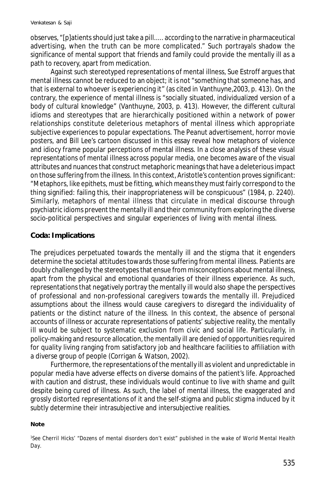observes, "[p]atients should just take a pill..... according to the narrative in pharmaceutical advertising, when the truth can be more complicated." Such portrayals shadow the significance of mental support that friends and family could provide the mentally ill as a path to recovery, apart from medication.

Against such stereotyped representations of mental illness, Sue Estroff argues that mental illness cannot be reduced to an object; it is not "something that someone *has,* and that is external to whoever is experiencing it" (as cited in Vanthuyne,2003, p. 413). On the contrary, the experience of mental illness is "socially situated, individualized version of a body of cultural knowledge" (Vanthuyne, 2003, p. 413). However, the different cultural idioms and stereotypes that are hierarchically positioned within a network of power relationships constitute deleterious metaphors of mental illness which appropriate subjective experiences to popular expectations. The Peanut advertisement, horror movie posters, and Bill Lee's cartoon discussed in this essay reveal how metaphors of violence and idiocy frame popular perceptions of mental illness. In a close analysis of these visual representations of mental illness across popular media, one becomes aware of the visual attributes and nuances that construct metaphoric meanings that have a deleterious impact on those suffering from the illness. In this context, Aristotle's contention proves significant: "Metaphors, like epithets, must be fitting, which means they must fairly correspond to the thing signified: failing this, their inappropriateness will be conspicuous" (1984, p. 2240). Similarly, metaphors of mental illness that circulate in medical discourse through psychiatric idioms prevent the mentally ill and their community from exploring the diverse socio-political perspectives and singular experiences of living with mental illness.

### **Coda: Implications**

The prejudices perpetuated towards the mentally ill and the stigma that it engenders determine the societal attitudes towards those suffering from mental illness. Patients are doubly challenged by the stereotypes that ensue from misconceptions about mental illness, apart from the physical and emotional quandaries of their illness experience. As such, representations that negatively portray the mentally ill would also shape the perspectives of professional and non-professional caregivers towards the mentally ill. Prejudiced assumptions about the illness would cause caregivers to disregard the individuality of patients or the distinct nature of the illness. In this context, the absence of personal accounts of illness or accurate representations of patients' subjective reality, the mentally ill would be subject to systematic exclusion from civic and social life. Particularly, in policy-making and resource allocation, the mentally ill are denied of opportunities required for quality living ranging from satisfactory job and healthcare facilities to affiliation with a diverse group of people (Corrigan & Watson, 2002).

Furthermore, the representations of the mentally ill as violent and unpredictable in popular media have adverse effects on diverse domains of the patient's life. Approached with caution and distrust, these individuals would continue to live with shame and guilt despite being cured of illness. As such, the label of mental illness, the exaggerated and grossly distorted representations of it and the self-stigma and public stigma induced by it subtly determine their intrasubjective and intersubjective realities.

#### **Note**

<sup>1</sup>See Cherril Hicks' "Dozens of mental disorders don't exist" published in the wake of World Mental Health Dav.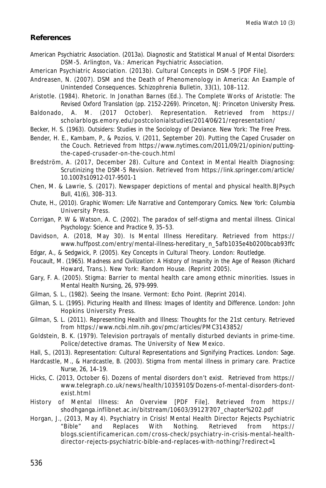#### **References**

- American Psychiatric Association. (2013a). *Diagnostic and Statistical Manual of Mental Disorders: DSM-5*. Arlington, Va.: American Psychiatric Association.
- American Psychiatric Association. (2013b). Cultural Concepts in DSM-5 [PDF File].
- Andreasen, N. (2007). DSM and the Death of Phenomenology in America: An Example of Unintended Consequences. *Schizophrenia Bulletin*, 33(1), 108–112.
- Aristotle. (1984). Rhetoric. In Jonathan Barnes (Ed.). *The Complete Works of Aristotle: The Revised Oxford Translation* (pp. 2152-2269). Princeton, NJ: Princeton University Press.
- Baldonado, A. M. (2017 October). Representation. Retrieved from https:// scholarblogs.emory.edu/postcolonialstudies/2014/06/21/representation/
- Becker, H. S. (1963). *Outsiders: Studies in the Sociology of Deviance.* New York: The Free Press.
- Bender, H. E., Kambam, P., & Pozios, V. (2011, September 20). Putting the Caped Crusader on the Couch. Retrieved from https://www.nytimes.com/2011/09/21/opinion/puttingthe-caped-crusader-on-the-couch.html
- Bredström, A. (2017, December 28). Culture and Context in Mental Health Diagnosing: Scrutinizing the DSM-5 Revision. Retrieved from https://link.springer.com/article/ 10.1007/s10912-017-9501-1
- Chen, M. & Lawrie, S. (2017). Newspaper depictions of mental and physical health.*BJPsych Bull*, 41(6), 308–313.
- Chute, H., (2010). *Graphic Women: Life Narrative and Contemporary Comics*. New York: Columbia University Press.
- Corrigan, P. W & Watson, A. C. (2002). The paradox of self-stigma and mental illness. *Clinical Psychology: Science and Practice* 9, 35–53.
- Davidson, A. (2018, May 30). Is Mental Illness Hereditary. Retrieved from https:// www.huffpost.com/entry/mental-illness-hereditary\_n\_5afb1035e4b0200bcab93ffc
- Edgar, A., & Sedgwick, P. (2005). *Key Concepts in Cultural Theory*. London: Routledge.
- Foucault, M. (1965). *Madness and Civilization: A History of Insanity in the Age of Reason* (Richard Howard, Trans.). New York: Random House. (Reprint 2005).
- Gary, F. A. (2005). Stigma: Barrier to mental health care among ethnic minorities. *Issues in Mental Health Nursing*, 26, 979-999.
- Gilman, S. L., (1982). *Seeing the Insane*. Vermont: Echo Point. (Reprint 2014).
- Gilman, S. L. (1995). *Picturing Health and Illness: Images of Identity and Difference*. London: John Hopkins University Press.
- Gilman, S. L. (2011). Representing Health and Illness: Thoughts for the 21st century. Retrieved from https://www.ncbi.nlm.nih.gov/pmc/articles/PMC3143852/
- Goldstein, B. K. (1979). Television portrayals of mentally disturbed deviants in prime-time. Police/detective dramas. The University of New Mexico.
- Hall, S., (2013). *Representation: Cultural Representations and Signifying Practices*. London: Sage.
- Hardcastle, M., & Hardcastle, B. (2003). Stigma from mental illness in primary care. *Practice Nurse*, 26, 14–19.
- Hicks, C. (2013, October 6). Dozens of mental disorders don't exist. Retrieved from https:// www.telegraph.co.uk/news/health/10359105/Dozens-of-mental-disorders-dontexist.html
- History of Mental Illness: An Overview [PDF File]. Retrieved from https:// shodhganga.inflibnet.ac.in/bitstream/10603/39127/7/07\_chapter%202.pdf
- Horgan, J., (2013, May 4). Psychiatry in Crisis! Mental Health Director Rejects Psychiatric "Bible" and Replaces With Nothing. Retrieved from https:// blogs.scientificamerican.com/cross-check/psychiatry-in-crisis-mental-healthdirector-rejects-psychiatric-bible-and-replaces-with-nothing/?redirect=1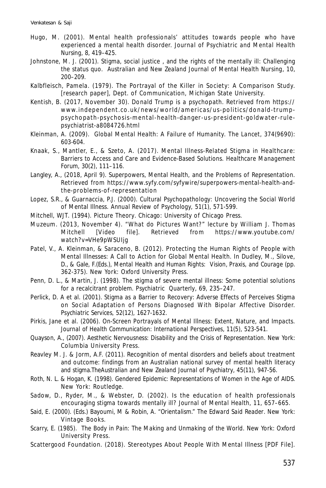- Hugo, M. (2001). Mental health professionals' attitudes towards people who have experienced a mental health disorder. *Journal of Psychiatric and Mental Health Nursing*, 8, 419–425.
- Johnstone, M. J. (2001). Stigma, social justice , and the rights of the mentally ill: Challenging the status quo. *Australian and New Zealand Journal of Mental Health Nursing*, 10, 200–209.
- Kalbfleisch, Pamela. (1979). The Portrayal of the Killer in Society: A Comparison Study. [research paper], Dept. of Communication, Michigan State University.
- Kentish, B. (2017, November 30). Donald Trump is a psychopath. Retrieved from https:// www.independent.co.uk/news/world/americas/us-politics/donald-trumppsyc ho pa th-psy c hosis-m ental-hea lth-da nger-us-president-go ldwa ter-rulepsychiatrist-a8084726.html
- Kleinman, A. (2009). Global Mental Health: A Failure of Humanity. *The Lancet*, 374(9690): 603-604.
- Knaak, S., Mantler, E., & Szeto, A. (2017). Mental Illness-Related Stigma in Healthcare: Barriers to Access and Care and Evidence-Based Solutions. *Healthcare Management Forum*, 30(2), 111–116.
- Langley, A., (2018, April 9). Superpowers, Mental Health, and the Problems of Representation. Retrieved from https://www.syfy.com/syfywire/superpowers-mental-health-andthe-problems-of-representation
- Lopez, S.R., & Guarnaccia, P.J. (2000). Cultural Psychopathology: Uncovering the Social World of Mental Illness. *Annual Review of Psychology,* 51(1), 571-599.
- Mitchell, WJT. (1994). *Picture Theory*. Chicago: University of Chicago Press.
- Muzeum. (2013, November 4). "What do Pictures Want?" lecture by William J. Thomas Mitchell [Video file]. Retrieved from https://www.youtube.com/ watch?v=VHe9pWSUIjg
- Patel, V., A. Kleinman, & Saraceno, B. (2012). Protecting the Human Rights of People with Mental Illnesses: A Call to Action for Global Mental Health. In Dudley, M., Silove, D., & Gale*,* F.(Eds.), *Mental Health and Human Rights: Vision, Praxis, and Courage* (pp. 362-375). New York: Oxford University Press.
- Penn, D. L., & Martin, J. (1998). The stigma of severe mental illness: Some potential solutions for a recalcitrant problem. *Psychiatric Quarterly*, 69, 235–247.
- Perlick, D. A et al. (2001). Stigma as a Barrier to Recovery: Adverse Effects of Perceives Stigma on Social Adaptation of Persons Diagnosed With Bipolar Affective Disorder. *Psychiatric Services*, 52(12), 1627-1632.
- Pirkis, Jane et al. (2006). On-Screen Portrayals of Mental Illness: Extent, Nature, and Impacts. *Journal of Health Communication: International Perspectives,* 11(5), 523-541.
- Quayson, A., (2007). *Aesthetic Nervousness: Disability and the Crisis of Representation*. New York: Columbia University Press.
- Reavley M. J. & Jorm, A.F. (2011). Recognition of mental disorders and beliefs about treatment and outcome: findings from an Australian national survey of mental health literacy and stigma.*TheAustralian and New Zealand Journal of Psychiatry*, 45(11), 947-56.
- Roth, N. L. & Hogan, K. (1998). *Gendered Epidemic: Representations of Women in the Age of AIDS*. New York: Routledge.
- Sadow, D., Ryder, M., & Webster, D. (2002). Is the education of health professionals encouraging stigma towards mentally ill? *Journal of Mental Health*, 11, 657–665.
- Said, E. (2000). (Eds.) Bayoumi, M & Robin, A. *"Orientalism." The Edward Said Reader*. New York: Vintage Books.
- Scarry, E. (1985). *The Body in Pain: The Making and Unmaking of the World*. New York: Oxford University Press.
- Scattergood Foundation. (2018). Stereotypes About People With Mental Illness [PDF File].